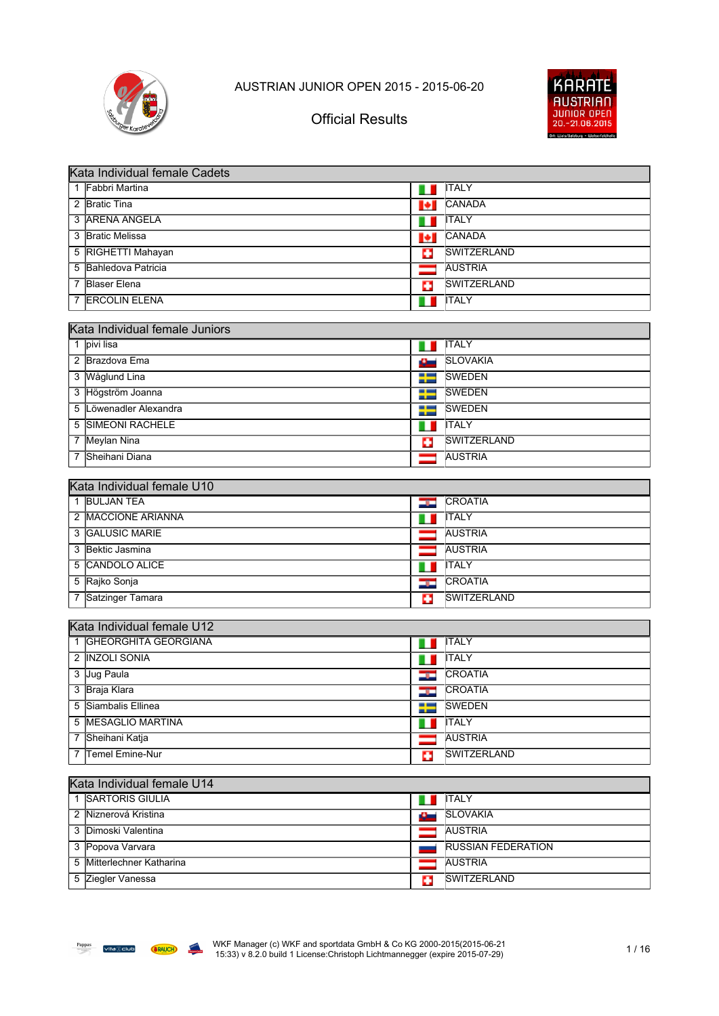



| Kata Individual female Cadets    |                |                           |  |
|----------------------------------|----------------|---------------------------|--|
| 1 Fabbri Martina                 | H              | <b>ITALY</b>              |  |
| 2 Bratic Tina                    | H              | CANADA                    |  |
| 3 ARENA ANGELA                   | $\blacksquare$ | <b>ITALY</b>              |  |
| 3 Bratic Melissa                 | ŀГ             | CANADA                    |  |
| 5 RIGHETTI Mahayan               | п              | <b>SWITZERLAND</b>        |  |
| 5 Bahledova Patricia             |                | <b>AUSTRIA</b>            |  |
| 7 Blaser Elena                   | o              | SWITZERLAND               |  |
| 7 ERCOLIN ELENA                  |                | <b>ITALY</b>              |  |
|                                  |                |                           |  |
| Kata Individual female Juniors   |                |                           |  |
| 1 pivi lisa                      |                | <b>ITALY</b>              |  |
| 2 Brazdova Ema                   | نستت           | <b>SLOVAKIA</b>           |  |
| 3 Wåglund Lina                   |                | <b>SWEDEN</b>             |  |
| 3 Högström Joanna                | ᅩ              | <b>SWEDEN</b>             |  |
| Löwenadler Alexandra<br>5        | --             | <b>SWEDEN</b>             |  |
| <b>SIMEONI RACHELE</b><br>5      | ш              | <b>ITALY</b>              |  |
| 7 Meylan Nina                    | Ф              | <b>SWITZERLAND</b>        |  |
| Sheihani Diana                   |                | <b>AUSTRIA</b>            |  |
| Kata Individual female U10       |                |                           |  |
| 1 BULJAN TEA                     | ندود           | <b>CROATIA</b>            |  |
| 2 MACCIONE ARIANNA               |                | <b>ITALY</b>              |  |
| 3 GALUSIC MARIE                  |                | <b>AUSTRIA</b>            |  |
| 3 Bektic Jasmina                 |                | <b>AUSTRIA</b>            |  |
| 5 CANDOLO ALICE                  | Ш              | <b>ITALY</b>              |  |
| 5 Rajko Sonja                    | <b>Signal</b>  | CROATIA                   |  |
| Satzinger Tamara<br>7            | o              | <b>SWITZERLAND</b>        |  |
|                                  |                |                           |  |
| Kata Individual female U12       |                |                           |  |
| <b>GHEORGHITA GEORGIANA</b><br>1 | ш              | <b>ITALY</b>              |  |
| 2 INZOLI SONIA                   | ш              | <b>ITALY</b>              |  |
| 3 Jug Paula                      | <u>ing in</u>  | CROATIA                   |  |
| 3 Braja Klara                    | <u>er</u>      | CROATIA                   |  |
| 5 Siambalis Ellinea              |                | $\frac{1}{2}$ SWEDEN      |  |
| 5 MESAGLIO MARTINA               | H              | <b>ITALY</b>              |  |
| 7 Sheihani Katja                 |                | <b>AUSTRIA</b>            |  |
| Temel Emine-Nur<br>7             | o              | <b>SWITZERLAND</b>        |  |
|                                  |                |                           |  |
| Kata Individual female U14       |                |                           |  |
| 1 SARTORIS GIULIA                | a ka           | <b>ITALY</b>              |  |
| 2 Niznerová Kristina             |                | <b>SLOVAKIA</b>           |  |
| 3 Dimoski Valentina              |                | <b>AUSTRIA</b>            |  |
| 3 Popova Varvara                 |                | <b>RUSSIAN FEDERATION</b> |  |
| 5 Mitterlechner Katharina        |                | <b>AUSTRIA</b>            |  |
| 5 Ziegler Vanessa                | ÷              | <b>SWITZERLAND</b>        |  |

**California**<br>Designer Outlet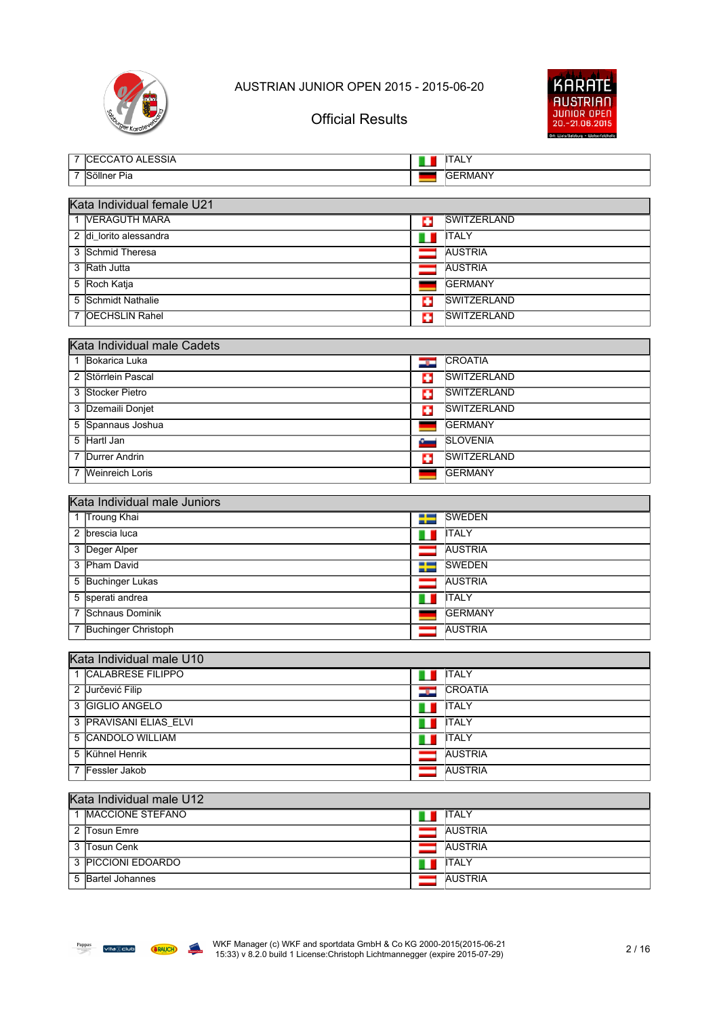



|   | Urger Karatever              | UIIIUIAI IN <del>C</del> SUIIIS | 20.-21.06.2015     |
|---|------------------------------|---------------------------------|--------------------|
|   | 7 CECCATO ALESSIA            | ш                               | <b>ITALY</b>       |
| 7 | Söllner Pia                  |                                 | <b>GERMANY</b>     |
|   |                              |                                 |                    |
|   | Kata Individual female U21   |                                 |                    |
|   | 1 VERAGUTH MARA              | ш                               | <b>SWITZERLAND</b> |
|   | 2 di_lorito alessandra       | ш                               | <b>ITALY</b>       |
| 3 | Schmid Theresa               |                                 | <b>AUSTRIA</b>     |
| 3 | Rath Jutta                   |                                 | <b>AUSTRIA</b>     |
|   | 5 Roch Katja                 |                                 | <b>GERMANY</b>     |
|   | 5 Schmidt Nathalie           | o                               | <b>SWITZERLAND</b> |
| 7 | <b>OECHSLIN Rahel</b>        | o                               | SWITZERLAND        |
|   |                              |                                 |                    |
|   | Kata Individual male Cadets  |                                 |                    |
|   | 1 Bokarica Luka              | <b>ن</b>                        | <b>CROATIA</b>     |
|   | 2 Störrlein Pascal           | c                               | <b>SWITZERLAND</b> |
|   | 3 Stocker Pietro             | o                               | <b>SWITZERLAND</b> |
|   | 3 Dzemaili Donjet            | c                               | SWITZERLAND        |
|   | 5 Spannaus Joshua            | ٠                               | <b>GERMANY</b>     |
|   | 5 Hartl Jan                  | $\epsilon$                      | <b>SLOVENIA</b>    |
| 7 | <b>Durrer Andrin</b>         | o                               | <b>SWITZERLAND</b> |
|   | 7 Weinreich Loris            |                                 | <b>GERMANY</b>     |
|   | Kata Individual male Juniors |                                 |                    |
|   | 1 Troung Khai                | ₩                               | <b>SWEDEN</b>      |
|   | 2 brescia luca               |                                 | <b>ITALY</b>       |
|   | 3 Deger Alper                |                                 | <b>AUSTRIA</b>     |
|   | 3 Pham David                 | 25                              | <b>SWEDEN</b>      |
|   | 5 Buchinger Lukas            | ═                               | <b>AUSTRIA</b>     |
| 5 | sperati andrea               |                                 | <b>ITALY</b>       |
| 7 | Schnaus Dominik              |                                 | <b>GERMANY</b>     |
|   | 7 Buchinger Christoph        |                                 | <b>AUSTRIA</b>     |
|   |                              |                                 |                    |
|   | Kata Individual male U10     |                                 |                    |
|   | 1 CALABRESE FILIPPO          | n a                             | <b>ITALY</b>       |
|   | 2 Jurčević Filip             | tari da                         | CROATIA            |
|   | 3 GIGLIO ANGELO              | m                               | <b>ITALY</b>       |
|   | 3 PRAVISANI ELIAS ELVI       | H                               | <b>ITALY</b>       |
|   | 5 CANDOLO WILLIAM            | ш                               | <b>ITALY</b>       |
|   | 5 Kühnel Henrik              |                                 | <b>AUSTRIA</b>     |
|   | 7 Fessler Jakob              |                                 | <b>AUSTRIA</b>     |
|   |                              |                                 |                    |
|   | Kata Individual male U12     |                                 |                    |
|   | 1  MACCIONE STEFANO          |                                 | <b>ITALY</b>       |
|   | 2 Tosun Emre                 |                                 | <b>AUSTRIA</b>     |
|   | 3 Tosun Cenk                 |                                 | <b>AUSTRIA</b>     |
|   | 3 PICCIONI EDOARDO           |                                 | <b>ITALY</b>       |
|   | 5 Bartel Johannes            |                                 | <b>AUSTRIA</b>     |
|   |                              |                                 |                    |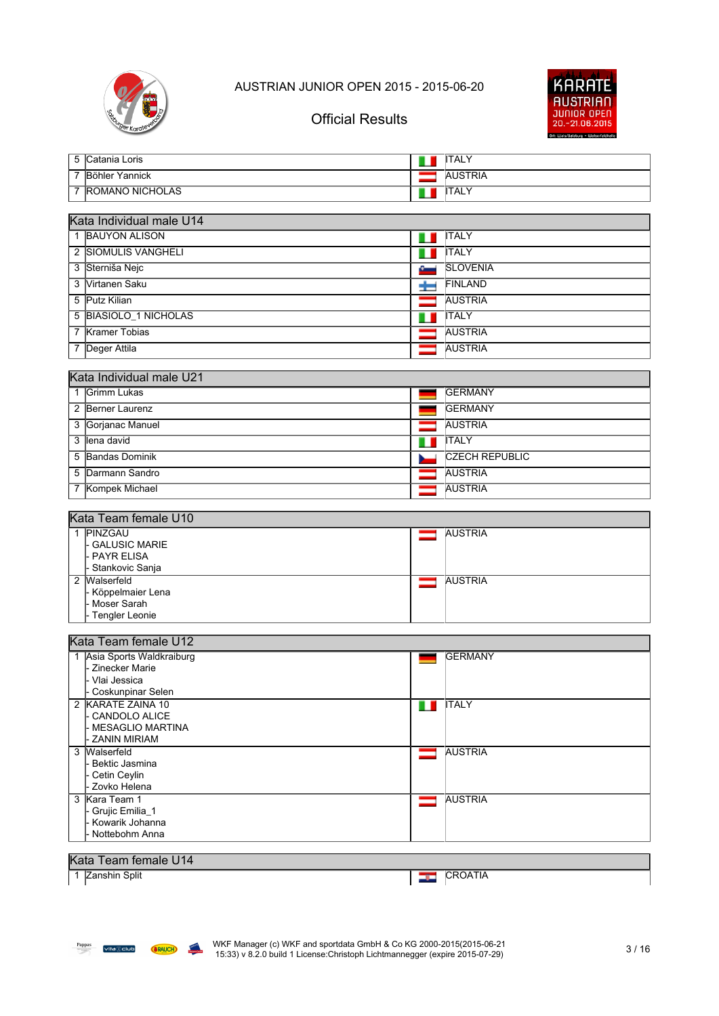



## Official Results

|   | 5 Catania Loris                     |          | <b>ITALY</b>          |  |
|---|-------------------------------------|----------|-----------------------|--|
|   | 7 Böhler Yannick                    |          | <b>AUSTRIA</b>        |  |
|   | 7 ROMANO NICHOLAS                   |          | <b>ITALY</b>          |  |
|   |                                     |          |                       |  |
|   | Kata Individual male U14            |          |                       |  |
|   | 1 BAUYON ALISON                     |          | <b>ITALY</b>          |  |
|   | 2 SIOMULIS VANGHELI                 |          | <b>ITALY</b>          |  |
|   | 3 Sterniša Nejc                     |          | <b>SLOVENIA</b>       |  |
|   | 3 Virtanen Saku                     |          | FINLAND               |  |
|   | 5 Putz Kilian                       |          | <b>AUSTRIA</b>        |  |
|   | 5 BIASIOLO_1 NICHOLAS               |          | <b>ITALY</b>          |  |
|   | 7 Kramer Tobias                     |          | <b>AUSTRIA</b>        |  |
|   | 7 Deger Attila                      |          | <b>AUSTRIA</b>        |  |
|   |                                     |          |                       |  |
|   | Kata Individual male U21            |          |                       |  |
|   | 1 Grimm Lukas                       |          | <b>GERMANY</b>        |  |
|   | 2 Berner Laurenz                    |          | <b>GERMANY</b>        |  |
| 3 | Gorjanac Manuel                     |          | <b>AUSTRIA</b>        |  |
| 3 | lena david                          |          | <b>ITALY</b>          |  |
|   | 5 Bandas Dominik                    |          | <b>CZECH REPUBLIC</b> |  |
|   | 5 Darmann Sandro                    |          | <b>AUSTRIA</b>        |  |
|   | 7 Kompek Michael                    |          | <b>AUSTRIA</b>        |  |
|   |                                     |          |                       |  |
|   | Kata Team female U10<br>1 PINZGAU   |          |                       |  |
|   | <b>GALUSIC MARIE</b>                |          | <b>AUSTRIA</b>        |  |
|   | <b>PAYR ELISA</b>                   |          |                       |  |
|   | - Stankovic Sanja<br>2 Walserfeld   | $\equiv$ | <b>AUSTRIA</b>        |  |
|   | - Köppelmaier Lena                  |          |                       |  |
|   | Moser Sarah                         |          |                       |  |
|   | Tengler Leonie                      |          |                       |  |
|   | Kata Team female U12                |          |                       |  |
|   | 1 Asia Sports Waldkraiburg          |          | <b>GERMANY</b>        |  |
|   | <b>Zinecker Marie</b>               |          |                       |  |
|   | Vlai Jessica<br>- Coskunpinar Selen |          |                       |  |
|   | 2 KARATE ZAINA 10                   | n n      | <b>ITALY</b>          |  |
|   | - CANDOLO ALICE                     |          |                       |  |
|   | MESAGLIO MARTINA<br>ZANIN MIRIAM    |          |                       |  |
|   | 3 Walserfeld                        | $\equiv$ | <b>AUSTRIA</b>        |  |
|   | Bektic Jasmina                      |          |                       |  |
|   | Cetin Ceylin                        |          |                       |  |
|   | Zovko Helena<br>3 Kara Team 1       |          | <b>AUSTRIA</b>        |  |
|   | - Grujic Emilia_1                   |          |                       |  |
|   | - Kowarik Johanna                   |          |                       |  |
|   | Nottebohm Anna                      |          |                       |  |
|   | Kata Team female U14                |          |                       |  |
|   | 1 Zanshin Split                     | نات      | CROATIA               |  |
|   |                                     |          |                       |  |

**California**<br>Designer Outlet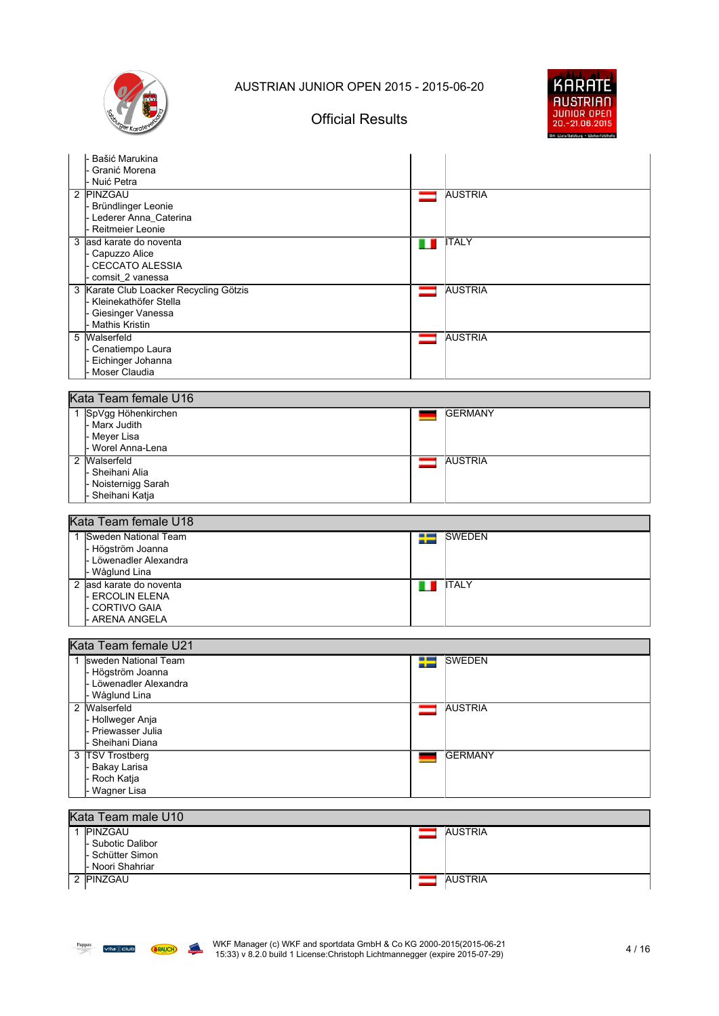

## Official Results



| Bašić Marukina                         |                            |
|----------------------------------------|----------------------------|
| Granić Morena                          |                            |
| Nuić Petra                             |                            |
| 2 PINZGAU                              | <b>AUSTRIA</b><br>=        |
| Bründlinger Leonie                     |                            |
| Lederer Anna_Caterina                  |                            |
| Reitmeier Leonie                       |                            |
| 3 asd karate do noventa                | <b>ITALY</b><br>п          |
| Capuzzo Alice                          |                            |
| <b>CECCATO ALESSIA</b>                 |                            |
| comsit 2 vanessa                       |                            |
| 3 Karate Club Loacker Recycling Götzis | <b>AUSTRIA</b><br>$\equiv$ |
| Kleinekathöfer Stella                  |                            |
| Giesinger Vanessa                      |                            |
| <b>Mathis Kristin</b>                  |                            |
| Walserfeld<br>5                        | <b>AUSTRIA</b><br>$\equiv$ |
| Cenatiempo Laura                       |                            |
| Eichinger Johanna                      |                            |
| Moser Claudia                          |                            |
|                                        |                            |
| Kata Team female U16                   |                            |
| 1 SpVgg Höhenkirchen                   | <b>GERMANY</b>             |
| Marx Judith                            |                            |
| Meyer Lisa                             |                            |
| Worel Anna-Lena                        |                            |
| Walserfeld<br>2                        | <b>AUSTRIA</b><br>═        |
| Sheihani Alia                          |                            |
| Noisternigg Sarah                      |                            |
| Sheihani Katja                         |                            |
|                                        |                            |
| Kata Team female U18                   |                            |
| 1 Sweden National Team                 | <b>SWEDEN</b><br>Ŧ         |
| - Högström Joanna                      |                            |
| Löwenadler Alexandra                   |                            |
| Wåglund Lina                           |                            |
| 2 asd karate do noventa                | <b>ITALY</b><br>п.         |
| <b>ERCOLIN ELENA</b>                   |                            |
| <b>CORTIVO GAIA</b>                    |                            |
| <b>ARENA ANGELA</b>                    |                            |
|                                        |                            |
| Kata Team female U21                   |                            |
| 1 sweden National Team                 | <b>SWEDEN</b><br>╄         |
| Högström Joanna                        |                            |
| Löwenadler Alexandra                   |                            |
| - Wåglund Lina                         |                            |
| 2 Walserfeld                           | <b>AUSTRIA</b>             |
| Hollweger Anja                         |                            |
| Priewasser Julia                       |                            |
| Sheihani Diana                         |                            |

 $Pappas$  vita $\circledR$  club **SRAUCH Capture** Outer

3 TSV Trostberg Bakay Larisa Roch Katja - Wagner Lisa

1 PINZGAU

Kata Team male U10

Subotic Dalibor Schütter Simon Noori Shahriar

2 PINZGAU AUSTRIA

GERMANY

 $\equiv$ 

AUSTRIA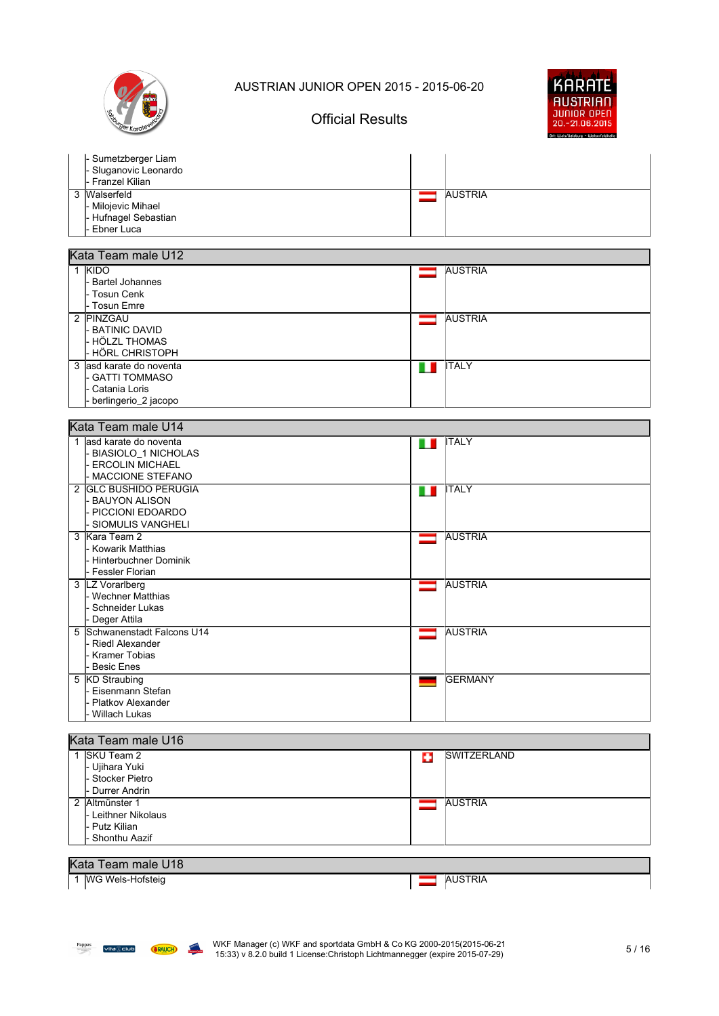

## Official Results



| - Sumetzberger Liam<br>- Sluganovic Leonardo<br>I- Franzel Kilian |                |
|-------------------------------------------------------------------|----------------|
| 3 Walserfeld                                                      | <b>AUSTRIA</b> |
| - Milojevic Mihael                                                |                |
| - Hufnagel Sebastian                                              |                |
| I- Ebner Luca                                                     |                |

#### Kata Team male U12

| <b>KIDO</b><br>l- Bartel Johannes<br>l- Tosun Cenk<br>l- Tosun Emre                        | <b>AUSTRIA</b> |  |
|--------------------------------------------------------------------------------------------|----------------|--|
| 2 PINZGAU<br>l- BATINIC DAVID<br>l hölzl thomas<br>l- HÖRL CHRISTOPH                       | <b>AUSTRIA</b> |  |
| 3 lasd karate do noventa<br>l- GATTI TOMMASO<br>l- Catania Loris<br>- berlingerio_2 jacopo | <b>ITALY</b>   |  |

| Kata Team male U14                                                                                               |                     |  |  |
|------------------------------------------------------------------------------------------------------------------|---------------------|--|--|
| 1 lasd karate do noventa<br><b>BIASIOLO 1 NICHOLAS</b><br><b>ERCOLIN MICHAEL</b>                                 | <b>ITALY</b><br>. . |  |  |
| - MACCIONE STEFANO<br>2 GLC BUSHIDO PERUGIA<br><b>BAUYON ALISON</b><br>- PICCIONI EDOARDO<br>- SIOMULIS VANGHELI | <b>ITALY</b><br>. . |  |  |
| 3 Kara Team 2<br>- Kowarik Matthias<br>Hinterbuchner Dominik<br>- Fessler Florian                                | <b>AUSTRIA</b>      |  |  |
| 3  LZ Vorarlberg<br>- Wechner Matthias<br>- Schneider Lukas<br>Deger Attila                                      | <b>AUSTRIA</b>      |  |  |
| 5 Schwanenstadt Falcons U14<br><b>Riedl Alexander</b><br>Kramer Tobias<br><b>Besic Enes</b>                      | <b>AUSTRIA</b>      |  |  |
| 5 KD Straubing<br>Eisenmann Stefan<br>- Platkov Alexander<br>- Willach Lukas                                     | <b>GERMANY</b>      |  |  |

#### Kata Team male U16

| SKU Team 2<br>- Ujihara Yuki<br>l- Stocker Pietro<br>l- Durrer Andrin        |  | <b>ISWITZERLAND</b> |
|------------------------------------------------------------------------------|--|---------------------|
| 2 Altmünster 1<br>I- Leithner Nikolaus<br>l- Putz Kilian<br>l- Shonthu Aazif |  | <b>AUSTRIA</b>      |
| Kata Team male 1118                                                          |  |                     |

### Kata Team male U18

1 WG Wels-Hofsteig **AUSTRIA**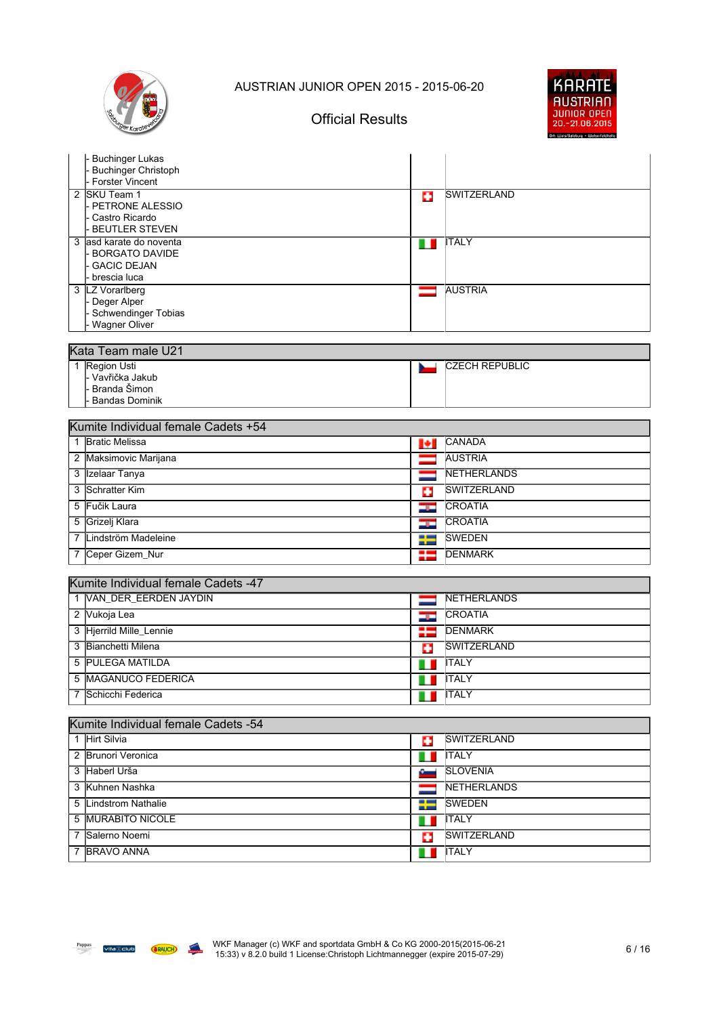

## Official Results



|   | <b>Buchinger Lukas</b><br><b>Buchinger Christoph</b><br><b>Forster Vincent</b>         |          |                                                                                                                                                                                                                                                                                                                                                                                                                                                                                            |
|---|----------------------------------------------------------------------------------------|----------|--------------------------------------------------------------------------------------------------------------------------------------------------------------------------------------------------------------------------------------------------------------------------------------------------------------------------------------------------------------------------------------------------------------------------------------------------------------------------------------------|
|   | 2 SKU Team 1<br>PETRONE ALESSIO<br>Castro Ricardo<br><b>BEUTLER STEVEN</b>             | o        | <i><b>ISWITZERLAND</b></i>                                                                                                                                                                                                                                                                                                                                                                                                                                                                 |
|   | 3 asd karate do noventa<br><b>BORGATO DAVIDE</b><br><b>GACIC DEJAN</b><br>brescia luca | . .      | <b>ITALY</b>                                                                                                                                                                                                                                                                                                                                                                                                                                                                               |
|   | 3  LZ Vorarlberg<br>Deger Alper<br>Schwendinger Tobias<br><b>Wagner Oliver</b>         |          | <b>AUSTRIA</b>                                                                                                                                                                                                                                                                                                                                                                                                                                                                             |
|   | Kata Team male U21                                                                     |          |                                                                                                                                                                                                                                                                                                                                                                                                                                                                                            |
|   | 1 Region Usti<br>- Vavřička Jakub<br>Branda Šimon<br><b>Bandas Dominik</b>             |          | CZECH REPUBLIC                                                                                                                                                                                                                                                                                                                                                                                                                                                                             |
|   | Kumite Individual female Cadets +54                                                    |          |                                                                                                                                                                                                                                                                                                                                                                                                                                                                                            |
|   | 1 Bratic Melissa                                                                       | Ы        | <b>CANADA</b>                                                                                                                                                                                                                                                                                                                                                                                                                                                                              |
|   | 2 Maksimovic Marijana                                                                  |          | <b>AUSTRIA</b>                                                                                                                                                                                                                                                                                                                                                                                                                                                                             |
|   | 3 Izelaar Tanya                                                                        |          | <b>INETHERLANDS</b>                                                                                                                                                                                                                                                                                                                                                                                                                                                                        |
|   | 3 Schratter Kim                                                                        | ш        | <b>SWITZERLAND</b>                                                                                                                                                                                                                                                                                                                                                                                                                                                                         |
| 5 | Fučik Laura                                                                            | sp.      | <b>CROATIA</b>                                                                                                                                                                                                                                                                                                                                                                                                                                                                             |
|   | 5 Grizelj Klara                                                                        | دود      | <b>CROATIA</b>                                                                                                                                                                                                                                                                                                                                                                                                                                                                             |
| 7 | Lindström Madeleine                                                                    | --<br>-- | <b>SWEDEN</b>                                                                                                                                                                                                                                                                                                                                                                                                                                                                              |
| 7 | Ceper Gizem_Nur                                                                        | - 1<br>п | <b>DENMARK</b>                                                                                                                                                                                                                                                                                                                                                                                                                                                                             |
|   |                                                                                        |          |                                                                                                                                                                                                                                                                                                                                                                                                                                                                                            |
|   | Kumite Individual female Cadets -47                                                    |          |                                                                                                                                                                                                                                                                                                                                                                                                                                                                                            |
|   | 1 VAN_DER_EERDEN JAYDIN                                                                |          | NETHERLANDS<br><b>CROATIA</b>                                                                                                                                                                                                                                                                                                                                                                                                                                                              |
|   | 2 Vukoja Lea<br>3 Hjerrild Mille_Lennie                                                | درند     | <b>DENMARK</b>                                                                                                                                                                                                                                                                                                                                                                                                                                                                             |
|   | 3 Bianchetti Milena                                                                    | ₩        | <b>SWITZERLAND</b>                                                                                                                                                                                                                                                                                                                                                                                                                                                                         |
|   | <b>PULEGA MATILDA</b>                                                                  | o        | <b>ITALY</b>                                                                                                                                                                                                                                                                                                                                                                                                                                                                               |
| 5 | <b>MAGANUCO FEDERICA</b>                                                               |          | <b>ITALY</b>                                                                                                                                                                                                                                                                                                                                                                                                                                                                               |
| 5 | 7 Schicchi Federica                                                                    |          | $\blacksquare$ $\blacksquare$ $\blacksquare$ $\blacksquare$ $\blacksquare$ $\blacksquare$ $\blacksquare$ $\blacksquare$ $\blacksquare$ $\blacksquare$ $\blacksquare$ $\blacksquare$ $\blacksquare$ $\blacksquare$ $\blacksquare$ $\blacksquare$ $\blacksquare$ $\blacksquare$ $\blacksquare$ $\blacksquare$ $\blacksquare$ $\blacksquare$ $\blacksquare$ $\blacksquare$ $\blacksquare$ $\blacksquare$ $\blacksquare$ $\blacksquare$ $\blacksquare$ $\blacksquare$ $\blacksquare$ $\blacks$ |
|   |                                                                                        |          |                                                                                                                                                                                                                                                                                                                                                                                                                                                                                            |
|   | Kumite Individual female Cadets -54                                                    |          |                                                                                                                                                                                                                                                                                                                                                                                                                                                                                            |
|   | 1 Hirt Silvia                                                                          | ю        | SWITZERLAND                                                                                                                                                                                                                                                                                                                                                                                                                                                                                |
|   | 2 Brunori Veronica                                                                     |          | <b>ITALY</b>                                                                                                                                                                                                                                                                                                                                                                                                                                                                               |
|   | 3 Haberl Urša                                                                          |          | <b>SLOVENIA</b>                                                                                                                                                                                                                                                                                                                                                                                                                                                                            |
|   | 3 Kuhnen Nashka                                                                        |          | NETHERLANDS                                                                                                                                                                                                                                                                                                                                                                                                                                                                                |
|   | 5 Lindstrom Nathalie                                                                   | ₩        | <b>SWEDEN</b>                                                                                                                                                                                                                                                                                                                                                                                                                                                                              |
|   | 5 MURABITO NICOLE                                                                      | ш        | <b>ITALY</b>                                                                                                                                                                                                                                                                                                                                                                                                                                                                               |
| 7 | Salerno Noemi                                                                          | o        | <b>SWITZERLAND</b>                                                                                                                                                                                                                                                                                                                                                                                                                                                                         |
| 7 | <b>BRAVO ANNA</b>                                                                      | n n      | <b>ITALY</b>                                                                                                                                                                                                                                                                                                                                                                                                                                                                               |

**California**<br>Designer Outlet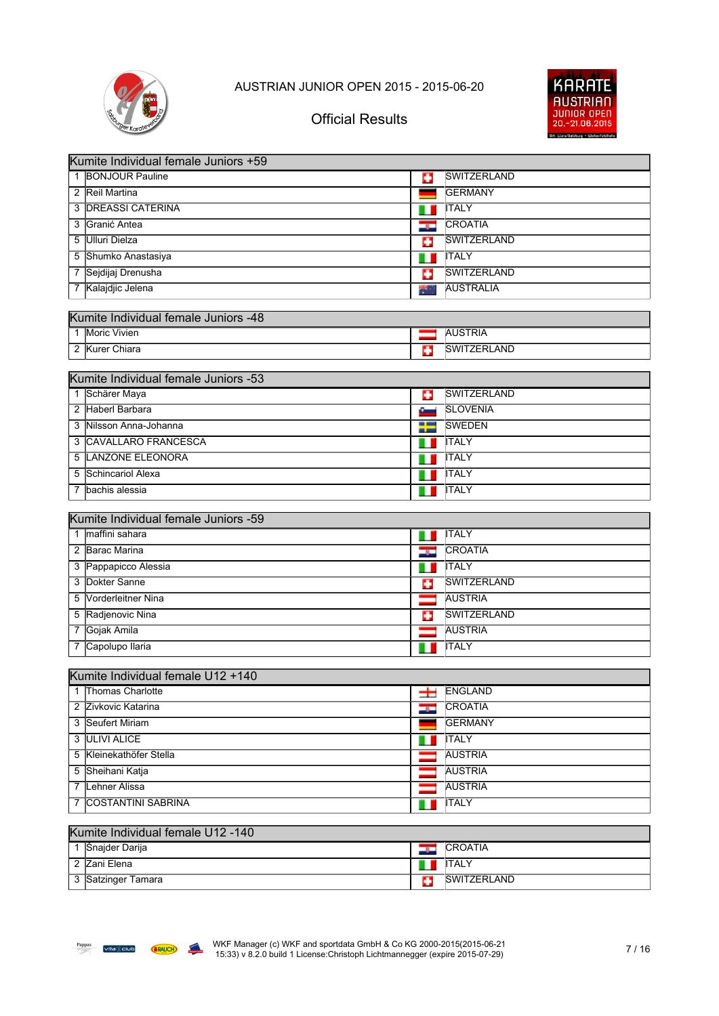

## Official Results



|                | Kumite Individual female Juniors +59 |                          |                    |  |  |
|----------------|--------------------------------------|--------------------------|--------------------|--|--|
|                | 1 BONJOUR Pauline                    | п                        | SWITZERLAND        |  |  |
|                | 2 Reil Martina                       | -                        | <b>GERMANY</b>     |  |  |
|                | 3 <b>DREASSI CATERINA</b>            | ш                        | <b>ITALY</b>       |  |  |
| 3              | Granić Antea                         | در                       | <b>CROATIA</b>     |  |  |
| 5              | <b>Ulluri Dielza</b>                 | o                        | SWITZERLAND        |  |  |
| 5              | Shumko Anastasiya                    |                          | <b>ITALY</b>       |  |  |
|                | 7 Sejdijaj Drenusha                  | Ф                        | <b>SWITZERLAND</b> |  |  |
|                | 7 Kalajdjic Jelena                   | *                        | <b>AUSTRALIA</b>   |  |  |
|                |                                      |                          |                    |  |  |
|                | Kumite Individual female Juniors -48 |                          |                    |  |  |
| $\mathbf{1}$   | <b>Moric Vivien</b>                  | $\overline{\phantom{0}}$ | <b>AUSTRIA</b>     |  |  |
|                | 2 Kurer Chiara                       | Ð                        | <b>SWITZERLAND</b> |  |  |
|                | Kumite Individual female Juniors -53 |                          |                    |  |  |
|                | 1 Schärer Maya                       | Ð                        | <b>SWITZERLAND</b> |  |  |
|                | 2 Haberl Barbara                     | ست                       | <b>SLOVENIA</b>    |  |  |
|                | 3 Nilsson Anna-Johanna               | ╄                        | <b>SWEDEN</b>      |  |  |
| 3              | CAVALLARO FRANCESCA                  |                          | <b>ITALY</b>       |  |  |
| 5              | LANZONE ELEONORA                     |                          | <b>ITALY</b>       |  |  |
| 5              | Schincariol Alexa                    |                          | <b>ITALY</b>       |  |  |
| 7              | bachis alessia                       | ш                        | <b>ITALY</b>       |  |  |
|                |                                      |                          |                    |  |  |
|                | Kumite Individual female Juniors -59 |                          |                    |  |  |
|                | 1 maffini sahara                     | Ш                        | <b>ITALY</b>       |  |  |
|                | 2 Barac Marina                       | درد                      | <b>CROATIA</b>     |  |  |
|                | 3 Pappapicco Alessia                 | ш                        | <b>ITALY</b>       |  |  |
| 3              | Dokter Sanne                         | B                        | <b>SWITZERLAND</b> |  |  |
| 5              | Vorderleitner Nina                   |                          | <b>AUSTRIA</b>     |  |  |
| 5              | Radjenovic Nina                      | Œ                        | SWITZERLAND        |  |  |
| $\overline{7}$ | Gojak Amila                          |                          | <b>AUSTRIA</b>     |  |  |
| 7              | Capolupo Ilaria                      |                          | <b>ITALY</b>       |  |  |
|                | Kumite Individual female U12 +140    |                          |                    |  |  |
|                | 1 Thomas Charlotte                   | $\pm$                    | ENGLAND            |  |  |
|                | 2 Zivkovic Katarina                  | <u>ist</u>               | <b>CROATIA</b>     |  |  |
|                | 3 Seufert Miriam                     |                          | <b>GERMANY</b>     |  |  |
|                | 3 ULIVI ALICE                        |                          | <b>ITALY</b>       |  |  |
|                | 5 Kleinekathöfer Stella              |                          | <b>AUSTRIA</b>     |  |  |
|                | 5 Sheihani Katja                     |                          | <b>AUSTRIA</b>     |  |  |
|                | 7 Lehner Alissa                      |                          | <b>AUSTRIA</b>     |  |  |
| 7              | COSTANTINI SABRINA                   |                          | <b>ITALY</b>       |  |  |
|                |                                      |                          |                    |  |  |
|                | Kumite Individual female U12 -140    |                          |                    |  |  |

| Snajder Darija   | - | <b>CROATIA</b>      |
|------------------|---|---------------------|
| Zani Elena       | ш | ITALY               |
| Satzinger Tamara |   | <b>ISWITZERLAND</b> |

**Capture** Outer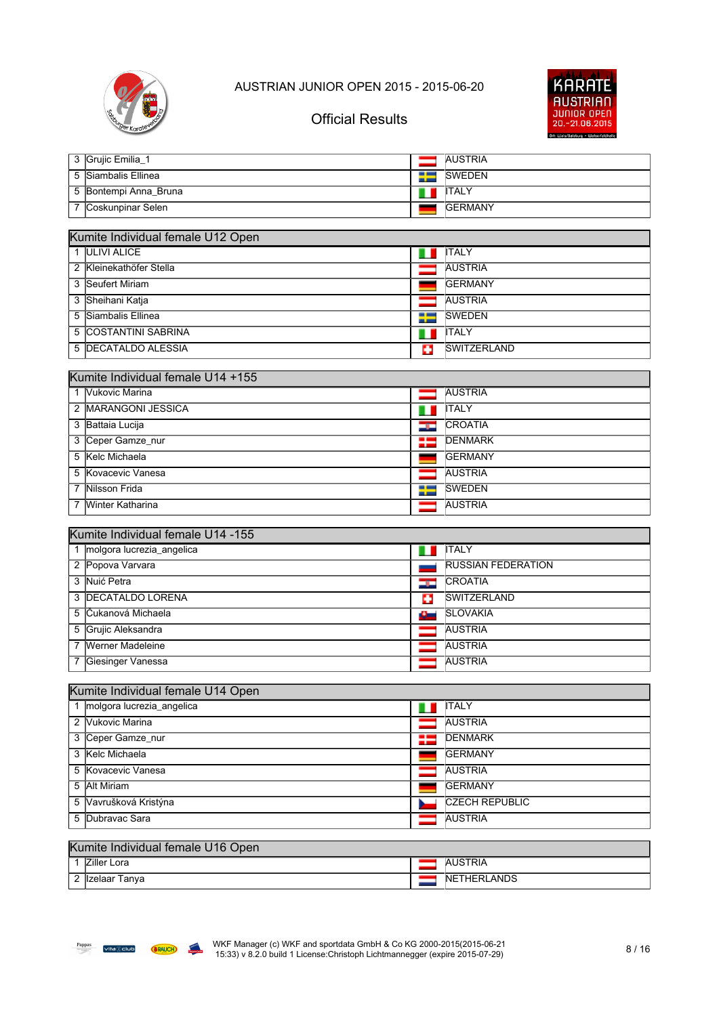



## Official Results

| 3 Grujic Emilia 1     | <b>AUSTRIA</b>  |
|-----------------------|-----------------|
| 5 Siambalis Ellinea   | <b>SWEDEN</b>   |
| 5 Bontempi Anna_Bruna | <b>IITALY</b>   |
| 7 Coskunpinar Selen   | <b>IGERMANY</b> |

| Kumite Individual female U12 Open |   |                    |  |  |  |
|-----------------------------------|---|--------------------|--|--|--|
| 1 ULIVI ALICE                     |   | <b>ITALY</b>       |  |  |  |
| 2 Kleinekathöfer Stella           |   | <b>AUSTRIA</b>     |  |  |  |
| 3 Seufert Miriam                  |   | <b>IGERMANY</b>    |  |  |  |
| 3 Sheihani Katja                  |   | <b>AUSTRIA</b>     |  |  |  |
| 5 Siambalis Ellinea               | ≡ | <b>SWEDEN</b>      |  |  |  |
| 5 COSTANTINI SABRINA              |   | <b>ITALY</b>       |  |  |  |
| 5 DECATALDO ALESSIA               | о | <b>SWITZERLAND</b> |  |  |  |

| Kumite Individual female U14 +155 |     |                 |  |  |  |
|-----------------------------------|-----|-----------------|--|--|--|
| Vukovic Marina                    |     | <b>AUSTRIA</b>  |  |  |  |
| 2 MARANGONI JESSICA               |     | <b>ITALY</b>    |  |  |  |
| 3 Battaia Lucija                  | درد | <b>CROATIA</b>  |  |  |  |
| 3 Ceper Gamze nur                 |     | <b>DENMARK</b>  |  |  |  |
| 5 Kelc Michaela                   |     | <b>IGERMANY</b> |  |  |  |
| 5 Kovacevic Vanesa                |     | <b>AUSTRIA</b>  |  |  |  |
| 7 Nilsson Frida                   |     | <b>SWEDEN</b>   |  |  |  |
| Winter Katharina                  |     | <b>AUSTRIA</b>  |  |  |  |

#### Kumite Individual female U14 -155

| molgora lucrezia_angelica |      | <b>ITALY</b>              |  |  |
|---------------------------|------|---------------------------|--|--|
| 2 Popova Varvara          |      | <b>RUSSIAN FEDERATION</b> |  |  |
| 3 Nuić Petra              | صوك  | <b>CROATIA</b>            |  |  |
| 3 <b>DECATALDO LORENA</b> | o    | <b>SWITZERLAND</b>        |  |  |
| 5 Cukanová Michaela       | سائل | <b>SLOVAKIA</b>           |  |  |
| 5 Grujic Aleksandra       |      | <b>AUSTRIA</b>            |  |  |
| 7 Werner Madeleine        |      | <b>AUSTRIA</b>            |  |  |
| Giesinger Vanessa         |      | <b>AUSTRIA</b>            |  |  |

| Kumite Individual female U14 Open |  |                       |  |  |
|-----------------------------------|--|-----------------------|--|--|
| 1 molgora lucrezia_angelica       |  | <b>ITALY</b>          |  |  |
| 2 Vukovic Marina                  |  | <b>AUSTRIA</b>        |  |  |
| 3 Ceper Gamze nur                 |  | <b>IDENMARK</b>       |  |  |
| 3 Kelc Michaela                   |  | <b>IGERMANY</b>       |  |  |
| 5 Kovacevic Vanesa                |  | <b>AUSTRIA</b>        |  |  |
| 5 Alt Miriam                      |  | <b>IGERMANY</b>       |  |  |
| 5 Vavrušková Kristýna             |  | <b>CZECH REPUBLIC</b> |  |  |
| 5 Dubravac Sara                   |  | <b>AUSTRIA</b>        |  |  |
|                                   |  |                       |  |  |

#### Kumite Individual female U16 Open

|   | -<br>Lora<br>l∠iller<br>___ | мr                                   |
|---|-----------------------------|--------------------------------------|
| - | anva<br>лаа                 | אחו<br><b>INE</b><br>ົAND ນ<br>HERL/ |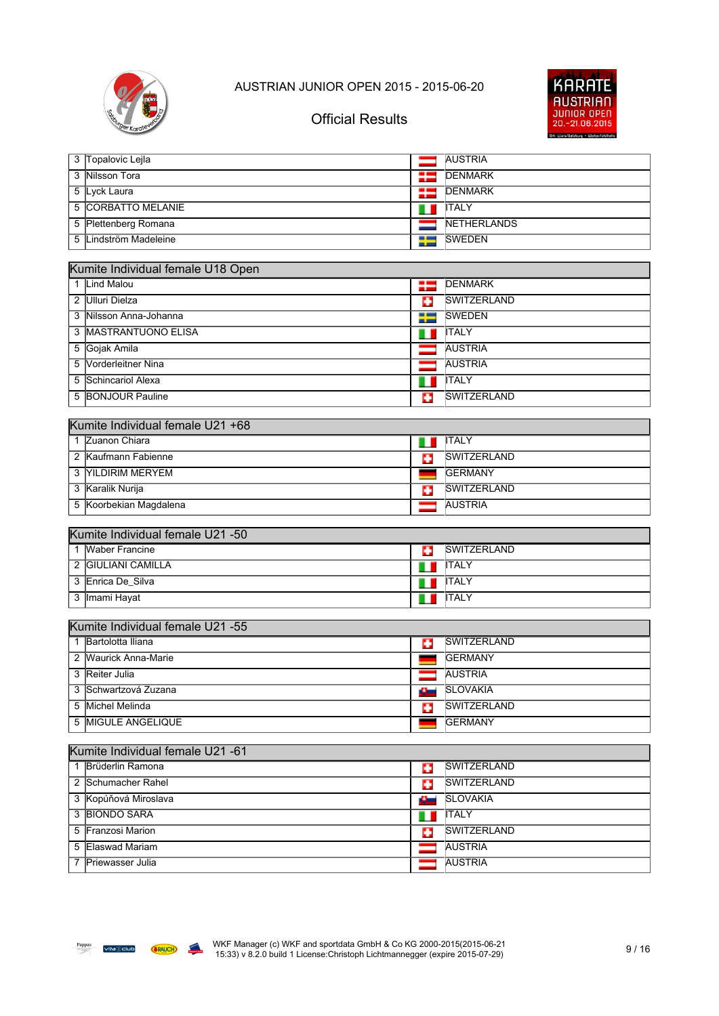



| 3 | Topalovic Lejla                   | ╼    | <b>AUSTRIA</b>     |
|---|-----------------------------------|------|--------------------|
| 3 | <b>Nilsson Tora</b>               | 93   | <b>DENMARK</b>     |
| 5 | Lyck Laura                        | 25   | <b>DENMARK</b>     |
|   | <b>5 CORBATTO MELANIE</b>         | ш    | <b>ITALY</b>       |
|   | 5 Plettenberg Romana              |      | NETHERLANDS        |
| 5 | Lindström Madeleine               | ₩    | <b>SWEDEN</b>      |
|   |                                   |      |                    |
|   | Kumite Individual female U18 Open |      |                    |
|   | 1 Lind Malou                      | ₩    | <b>DENMARK</b>     |
|   | 2 Ulluri Dielza                   | o    | <b>SWITZERLAND</b> |
|   | 3 Nilsson Anna-Johanna            | ╄    | <b>SWEDEN</b>      |
|   | 3 MASTRANTUONO ELISA              | 11   | <b>ITALY</b>       |
|   | 5 Gojak Amila                     |      | <b>AUSTRIA</b>     |
| 5 | Vorderleitner Nina                |      | <b>AUSTRIA</b>     |
| 5 | Schincariol Alexa                 | ш    | <b>ITALY</b>       |
|   | 5 BONJOUR Pauline                 | о    | <b>SWITZERLAND</b> |
|   |                                   |      |                    |
|   | Kumite Individual female U21 +68  |      |                    |
|   | 1 Zuanon Chiara                   | m    | <b>ITALY</b>       |
|   | 2 Kaufmann Fabienne               | o    | <b>SWITZERLAND</b> |
|   | 3 YILDIRIM MERYEM                 |      | <b>GERMANY</b>     |
|   | 3 Karalik Nurija                  | o    | <b>SWITZERLAND</b> |
|   | 5 Koorbekian Magdalena            |      | <b>AUSTRIA</b>     |
|   |                                   |      |                    |
|   | Kumite Individual female U21 -50  |      |                    |
|   | 1 Waber Francine                  | o    | <b>SWITZERLAND</b> |
|   | 2 GIULIANI CAMILLA                |      | <b>ITALY</b>       |
|   | 3 Enrica De_Silva                 |      | <b>ITALY</b>       |
| 3 | Imami Hayat                       | ш    | <b>ITALY</b>       |
|   | Kumite Individual female U21 -55  |      |                    |
|   | 1 Bartolotta Iliana               |      | <b>SWITZERLAND</b> |
|   | 2 Waurick Anna-Marie              | o    | <b>GERMANY</b>     |
|   | 3 Reiter Julia                    |      | <b>AUSTRIA</b>     |
|   | 3 Schwartzová Zuzana              |      | <b>SLOVAKIA</b>    |
|   |                                   | سانا |                    |
|   | 5 Michel Melinda                  | o    | <b>SWITZERLAND</b> |
|   | 5 MIGULE ANGELIQUE                |      | <b>GERMANY</b>     |
|   | Kumite Individual female U21 -61  |      |                    |
|   | 1 Brüderlin Ramona                | o    | <b>SWITZERLAND</b> |
|   | 2 Schumacher Rahel                |      | <b>SWITZERLAND</b> |
|   | 3 Kopúňová Miroslava              | o    | <b>SLOVAKIA</b>    |
|   | 3 BIONDO SARA                     | £    | <b>ITALY</b>       |
|   |                                   | ш    |                    |
|   | 5 Franzosi Marion                 | o    | SWITZERLAND        |
|   | 5 Elaswad Mariam                  |      | <b>AUSTRIA</b>     |

**Capture** Outer

7 Priewasser Julia **AUSTRIA**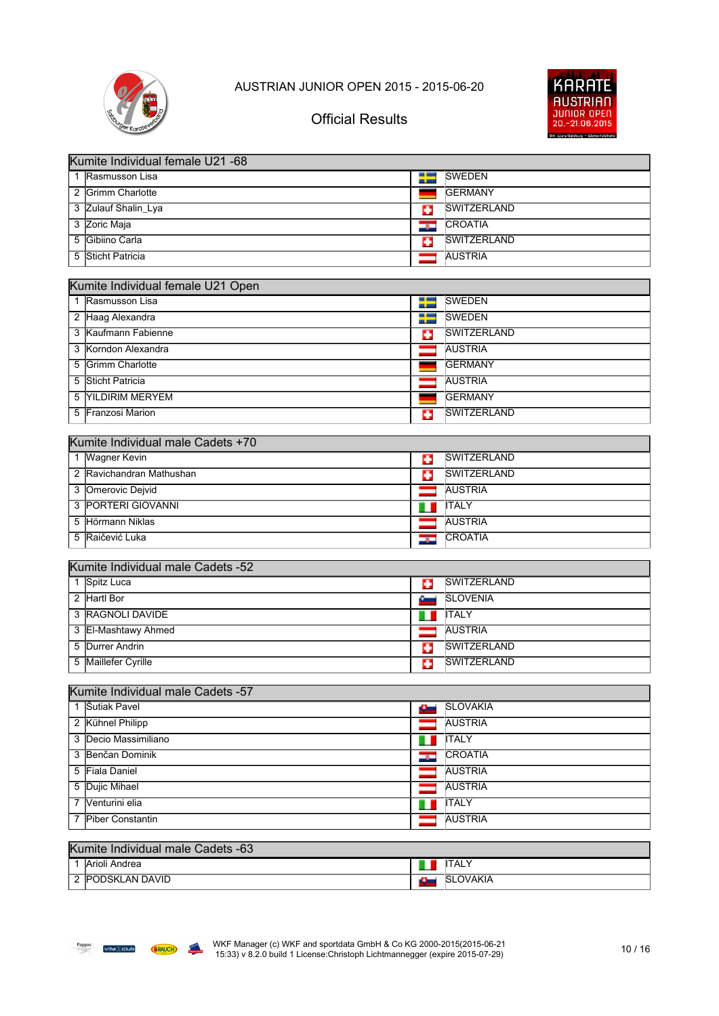



|   | Kumite Individual female U21 -68                  |         |                    |
|---|---------------------------------------------------|---------|--------------------|
|   | 1 Rasmusson Lisa                                  | ₩       | <b>SWEDEN</b>      |
|   | 2 Grimm Charlotte                                 |         | <b>GERMANY</b>     |
|   | 3 Zulauf Shalin_Lya                               | o       | <b>SWITZERLAND</b> |
|   | 3 Zoric Maja                                      | دود     | <b>CROATIA</b>     |
|   | 5 Gibiino Carla                                   | Ð       | <b>SWITZERLAND</b> |
| 5 | Sticht Patricia                                   | -       | <b>AUSTRIA</b>     |
|   |                                                   |         |                    |
|   | Kumite Individual female U21 Open                 |         |                    |
|   | 1 Rasmusson Lisa                                  | ₩       | <b>SWEDEN</b>      |
|   | 2 Haag Alexandra                                  | ▬<br>-- | <b>SWEDEN</b>      |
|   | 3 Kaufmann Fabienne                               | п       | SWITZERLAND        |
|   | 3 Korndon Alexandra                               |         | <b>AUSTRIA</b>     |
| 5 | <b>Grimm Charlotte</b>                            |         | <b>GERMANY</b>     |
| 5 | Sticht Patricia                                   |         | <b>AUSTRIA</b>     |
| 5 | <b>YILDIRIM MERYEM</b>                            |         | <b>GERMANY</b>     |
|   | 5 Franzosi Marion                                 | o       | SWITZERLAND        |
|   |                                                   |         |                    |
|   | Kumite Individual male Cadets +70                 |         | <b>SWITZERLAND</b> |
|   | 1 Wagner Kevin<br>2 Ravichandran Mathushan        | Ð       |                    |
|   |                                                   | o       | <b>SWITZERLAND</b> |
|   | 3 Omerovic Dejvid                                 |         | <b>AUSTRIA</b>     |
|   | 3 PORTERI GIOVANNI                                |         | <b>ITALY</b>       |
|   | 5 Hörmann Niklas                                  |         | <b>AUSTRIA</b>     |
|   | 5 Rajčević Luka                                   | دود     | CROATIA            |
|   |                                                   |         |                    |
|   | Kumite Individual male Cadets -52<br>1 Spitz Luca |         | <b>SWITZERLAND</b> |
|   | 2 Hartl Bor                                       | ш       | <b>SLOVENIA</b>    |
|   |                                                   | ست      |                    |
|   | 3 RAGNOLI DAVIDE                                  | ш       | <b>ITALY</b>       |
|   | 3 El-Mashtawy Ahmed                               |         | <b>AUSTRIA</b>     |
|   | 5 Durrer Andrin                                   | ÷       | SWITZERLAND        |
|   | 5 Maillefer Cyrille                               | o       | SWITZERLAND        |
|   | Kumite Individual male Cadets -57                 |         |                    |
|   | 1 Sutiak Pavel                                    | a.      | <b>SLOVAKIA</b>    |
|   | 2 Kühnel Philipp                                  | -       | <b>AUSTRIA</b>     |
|   | 3 Decio Massimiliano                              |         | <b>ITALY</b>       |
|   | 3 Benčan Dominik                                  | ш       | <b>CROATIA</b>     |
|   | 5 Fiala Daniel                                    | دود     | <b>AUSTRIA</b>     |
|   |                                                   |         | <b>AUSTRIA</b>     |
|   | 5 Dujic Mihael                                    |         |                    |
| 7 | Venturini elia                                    |         | <b>ITALY</b>       |
|   | 7 Piber Constantin                                |         | <b>AUSTRIA</b>     |
|   | Kumite Individual male Cadets -63                 |         |                    |
|   |                                                   |         |                    |

| $\mu$ and $\mu$ is a matrix in the cause of $\sigma$ |     |                  |  |  |  |
|------------------------------------------------------|-----|------------------|--|--|--|
| Arioli Andrea                                        | 4 Z | .<br><b>ITAL</b> |  |  |  |
| <b>PODSKLAN DAVID</b>                                | ж.  | <b>ISLOVAKIA</b> |  |  |  |

**Caldware** Outlet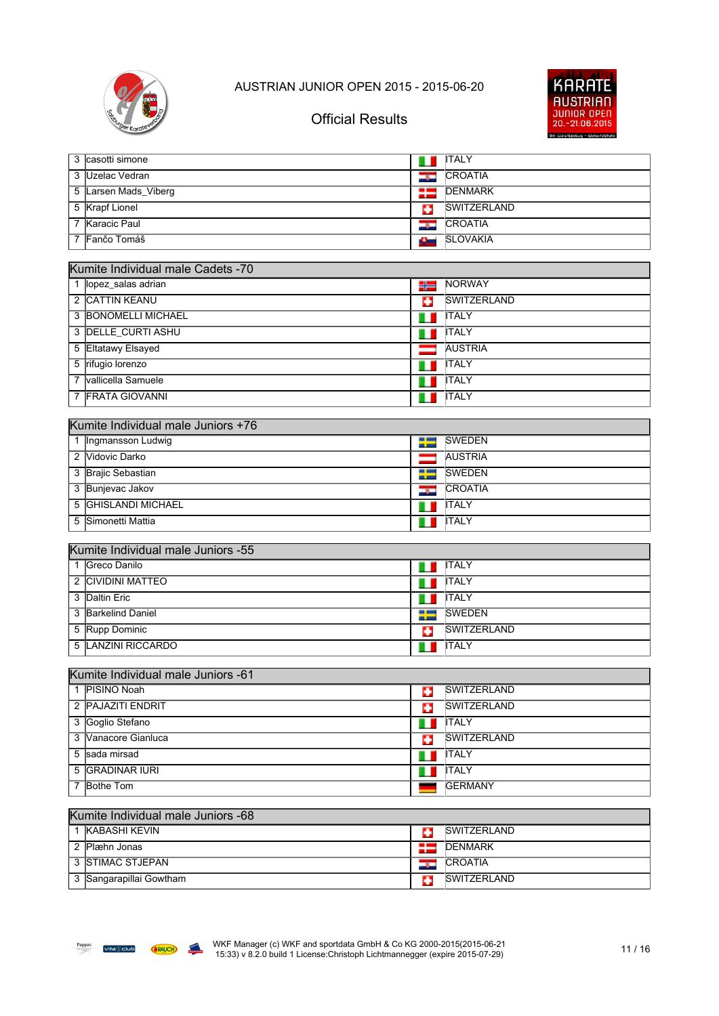



## Official Results

|                | 3 casotti simone                   | 1 D   | <b>ITALY</b>                   |
|----------------|------------------------------------|-------|--------------------------------|
| 3              | Uzelac Vedran                      | د و د | CROATIA                        |
|                | 5 Larsen Mads_Viberg               | ∺≡    | <b>DENMARK</b>                 |
|                | 5 Krapf Lionel                     | o     | <b>SWITZERLAND</b>             |
| $\overline{7}$ | <b>Karacic Paul</b>                | ۱     | CROATIA                        |
|                | 7 Fančo Tomáš                      | سائل  | <b>SLOVAKIA</b>                |
|                |                                    |       |                                |
|                | Kumite Individual male Cadets -70  |       |                                |
|                | lopez_salas adrian                 | ╬     | NORWAY                         |
|                | 2 CATTIN KEANU                     | o     | <b>SWITZERLAND</b>             |
|                | <b>3 BONOMELLI MICHAEL</b>         | н     | <b>ITALY</b>                   |
|                | 3 DELLE CURTI ASHU                 |       | <b>ITALY</b>                   |
|                | 5 Eltatawy Elsayed                 |       | <b>AUSTRIA</b>                 |
|                | 5 rifugio lorenzo                  |       | <b>ITALY</b>                   |
|                | vallicella Samuele                 |       | <b>ITALY</b>                   |
|                | 7 FRATA GIOVANNI                   |       | <b>ITALY</b>                   |
|                |                                    |       |                                |
|                | Kumite Individual male Juniors +76 |       |                                |
| 1              | Ingmansson Ludwig                  | ÷     | <b>SWEDEN</b>                  |
|                | 2 Vidovic Darko                    |       | <b>AUSTRIA</b>                 |
|                | 3 Brajic Sebastian                 | ╄     | <b>SWEDEN</b>                  |
|                | 3 Bunjevac Jakov                   | درتك  | <b>CROATIA</b>                 |
|                | 5 GHISLANDI MICHAEL                |       | <b>ITALY</b>                   |
| 5              | Simonetti Mattia                   |       | <b>ITALY</b>                   |
|                |                                    |       |                                |
|                | Kumite Individual male Juniors -55 |       |                                |
| 1              | Greco Danilo                       |       | <b>ITALY</b>                   |
| 2              | <b>CIVIDINI MATTEO</b>             |       | <b>ITALY</b>                   |
|                | 3 Daltin Eric                      | Ш     | <b>ITALY</b>                   |
|                | 3 Barkelind Daniel                 | H     | <b>SWEDEN</b>                  |
|                | 5 Rupp Dominic                     | o     | <b>SWITZERLAND</b>             |
| 5              | <b>LANZINI RICCARDO</b>            |       | <b>ITALY</b>                   |
|                | Kumite Individual male Juniors -61 |       |                                |
|                | 1 PISINO Noah                      |       | SWITZERLAND                    |
|                | 2 PAJAZITI ENDRIT                  | o     | <b>SWITZERLAND</b>             |
|                | 3 Goglio Stefano                   | G     | <b>ITALY</b>                   |
|                | 3 Vanacore Gianluca                | ш     | <b>SWITZERLAND</b>             |
|                | 5 sada mirsad                      | o     | <b>ITALY</b>                   |
|                |                                    |       |                                |
|                | 5 GRADINAR IURI<br>7 Bothe Tom     | Ш     | <b>ITALY</b><br><b>GERMANY</b> |
|                |                                    |       |                                |
|                | Kumite Individual male Juniors -68 |       |                                |
|                | 1 KABASHI KEVIN                    | Ð     | <b>SWITZERLAND</b>             |
|                | $\n  2$ Dlmbn Jongo                |       | $\blacksquare$ DENMADK         |

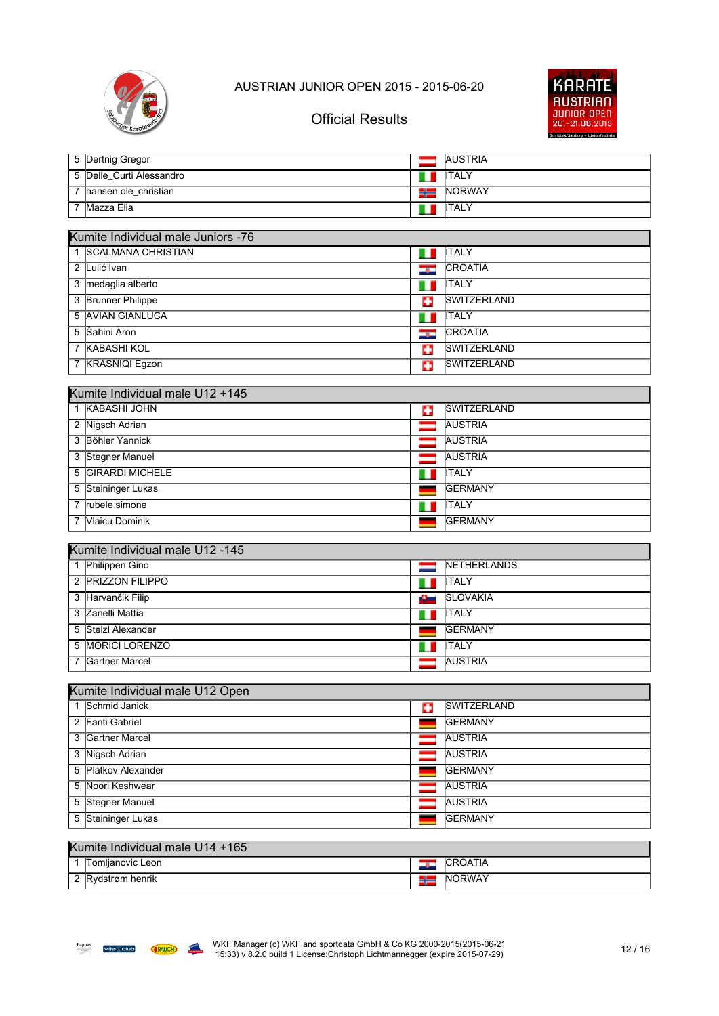



## Official Results

|  | 5 Dertnig Gregor         |             | <b>AUSTRIA</b> |
|--|--------------------------|-------------|----------------|
|  | 5 Delle_Curti Alessandro |             | <b>I</b> ITALY |
|  | hansen ole_christian     | <b>TIME</b> | <b>INORWAY</b> |
|  | Mazza Elia               |             | <b>I</b> ITALY |

| Kumite Individual male Juniors -76 |     |                    |  |  |  |
|------------------------------------|-----|--------------------|--|--|--|
| 1 SCALMANA CHRISTIAN               |     | <b>ITALY</b>       |  |  |  |
| 2 Lulić Ivan                       | درد | <b>CROATIA</b>     |  |  |  |
| 3 medaglia alberto                 | ш   | <b>ITALY</b>       |  |  |  |
| 3 Brunner Philippe                 | Ŧ   | <b>SWITZERLAND</b> |  |  |  |
| 5 AVIAN GIANLUCA                   | Ш   | <b>ITALY</b>       |  |  |  |
| 5 Sahini Aron                      | درد | <b>CROATIA</b>     |  |  |  |
| 7 KABASHI KOL                      | ÷   | <b>SWITZERLAND</b> |  |  |  |
| 7 KRASNIQI Egzon                   | ÷   | <b>SWITZERLAND</b> |  |  |  |

| Kumite Individual male U12 +145 |   |                    |  |  |  |
|---------------------------------|---|--------------------|--|--|--|
| 1 KABASHI JOHN                  | Ф | <b>SWITZERLAND</b> |  |  |  |
| 2 Nigsch Adrian                 |   | <b>AUSTRIA</b>     |  |  |  |
| 3 Böhler Yannick                |   | <b>AUSTRIA</b>     |  |  |  |
| 3 Stegner Manuel                |   | <b>AUSTRIA</b>     |  |  |  |
| 5 GIRARDI MICHELE               |   | <b>ITALY</b>       |  |  |  |
| 5 Steininger Lukas              |   | <b>GERMANY</b>     |  |  |  |
| rubele simone                   |   | <b>ITALY</b>       |  |  |  |
| <b>Vlaicu Dominik</b>           |   | <b>GERMANY</b>     |  |  |  |

#### Kumite Individual male U12 -145

| Philippen Gino        |    | <b>NETHERLANDS</b> |  |  |
|-----------------------|----|--------------------|--|--|
| 2 PRIZZON FILIPPO     | ш  | <b>ITALY</b>       |  |  |
| 3 Harvančik Filip     | £. | <b>SLOVAKIA</b>    |  |  |
| 3 Zanelli Mattia      |    | <b>ITALY</b>       |  |  |
| 5 Stelzl Alexander    |    | <b>GERMANY</b>     |  |  |
| 5 MORICI LORENZO      |    | <b>ITALY</b>       |  |  |
| <b>Gartner Marcel</b> |    | <b>AUSTRIA</b>     |  |  |

| Kumite Individual male U12 Open |   |                    |  |  |
|---------------------------------|---|--------------------|--|--|
| 1 Schmid Janick                 | o | <b>SWITZERLAND</b> |  |  |
| 2 Fanti Gabriel                 |   | <b>IGERMANY</b>    |  |  |
| 3 Gartner Marcel                |   | <b>AUSTRIA</b>     |  |  |
| 3 Nigsch Adrian                 |   | <b>AUSTRIA</b>     |  |  |
| 5 Platkov Alexander             |   | <b>IGERMANY</b>    |  |  |
| 5 Noori Keshwear                |   | <b>AUSTRIA</b>     |  |  |
| 5 Stegner Manuel                |   | <b>AUSTRIA</b>     |  |  |
| 5 Steininger Lukas              |   | <b>IGERMANY</b>    |  |  |

### Kumite Individual male U14 +165

|   | Tomlianovic Leon    | -- | $\sim$ $\sim$<br>$\mathsf{H}$ |
|---|---------------------|----|-------------------------------|
| - | henrik<br>om-<br>w. |    | 1 A \<br>.ותי<br>NI           |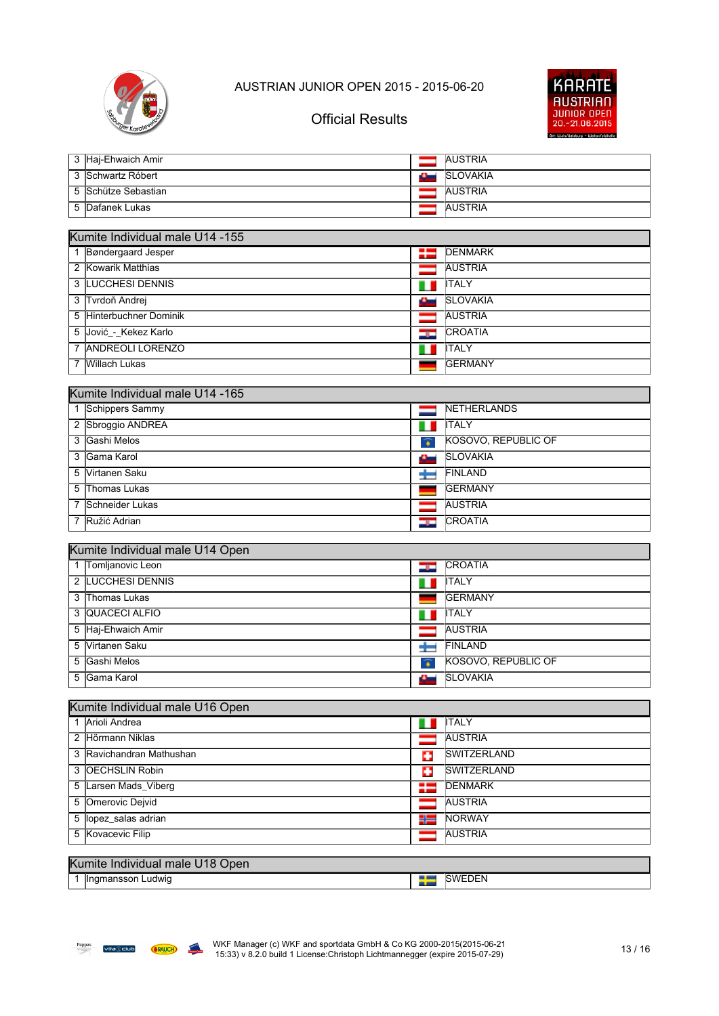



## Official Results

| 。3 旧aj-Ehwaich Amir        | <b>AUSTRIA</b>   |
|----------------------------|------------------|
| 3 Schwartz Róbert          | <b>ISLOVAKIA</b> |
| 5 <i>Schütze Sebastian</i> | <b>AUSTRIA</b>   |
| 5 Dafanek Lukas            | <b>AUSTRIA</b>   |

| Kumite Individual male U14 -155 |      |                 |  |  |
|---------------------------------|------|-----------------|--|--|
| 1 Bøndergaard Jesper            | ₩    | <b>DENMARK</b>  |  |  |
| 2 Kowarik Matthias              |      | <b>AUSTRIA</b>  |  |  |
| 3 LUCCHESI DENNIS               |      | <b>ITALY</b>    |  |  |
| 3 Tvrdoň Andrej                 | سائك | <b>SLOVAKIA</b> |  |  |
| 5 Hinterbuchner Dominik         |      | <b>AUSTRIA</b>  |  |  |
| 5 Jović - Kekez Karlo           | درد. | <b>CROATIA</b>  |  |  |
| 7 ANDREOLI LORENZO              | ш    | <b>ITALY</b>    |  |  |
| Willach Lukas                   |      | <b>IGERMANY</b> |  |  |

| Kumite Individual male U14 -165 |                   |                         |                     |  |
|---------------------------------|-------------------|-------------------------|---------------------|--|
|                                 | 1 Schippers Sammy |                         | <b>INETHERLANDS</b> |  |
|                                 | 2 Sbroggio ANDREA |                         | <b>ITALY</b>        |  |
|                                 | 3 Gashi Melos     | $\widehat{\,\bullet\,}$ | KOSOVO, REPUBLIC OF |  |
|                                 | 3 Gama Karol      |                         | <b>SLOVAKIA</b>     |  |
|                                 | 5 Virtanen Saku   |                         | <b>FINLAND</b>      |  |
|                                 | 5 Thomas Lukas    |                         | <b>IGERMANY</b>     |  |
|                                 | 7 Schneider Lukas |                         | <b>AUSTRIA</b>      |  |
|                                 | 7 Ružić Adrian    |                         | <b>CROATIA</b>      |  |

#### Kumite Individual male U14 Open

| 1 Tomljanovic Leon | ÷ | <b>CROATIA</b>      |  |  |
|--------------------|---|---------------------|--|--|
| 2 LUCCHESI DENNIS  |   | <b>ITALY</b>        |  |  |
| 3 Thomas Lukas     |   | <b>IGERMANY</b>     |  |  |
| 3 QUACECI ALFIO    |   | <b>ITALY</b>        |  |  |
| 5 Haj-Ehwaich Amir |   | <b>AUSTRIA</b>      |  |  |
| 5 Virtanen Saku    |   | <b>FINLAND</b>      |  |  |
| 5 Gashi Melos      | Ŧ | KOSOVO, REPUBLIC OF |  |  |
| 5 Gama Karol       |   | <b>SLOVAKIA</b>     |  |  |

| Kumite Individual male U16 Open |   |                     |  |  |
|---------------------------------|---|---------------------|--|--|
| 1 Arioli Andrea                 |   | <b>ITALY</b>        |  |  |
| 2 Hörmann Niklas                |   | <b>AUSTRIA</b>      |  |  |
| 3 Ravichandran Mathushan        | o | <b>SWITZERLAND</b>  |  |  |
| 3 OECHSLIN Robin                | o | <b>ISWITZERLAND</b> |  |  |
| 5 Larsen Mads_Viberg            |   | <b>DENMARK</b>      |  |  |
| 5 Omerovic Dejvid               |   | <b>AUSTRIA</b>      |  |  |
| 5 lopez salas adrian            |   | <b>INORWAY</b>      |  |  |
| 5 Kovacevic Filip               |   | <b>AUSTRIA</b>      |  |  |
|                                 |   |                     |  |  |
| Kumite Individual male U18 Open |   |                     |  |  |
| 1 Ingmansson Ludwig             |   | <b>SWEDEN</b>       |  |  |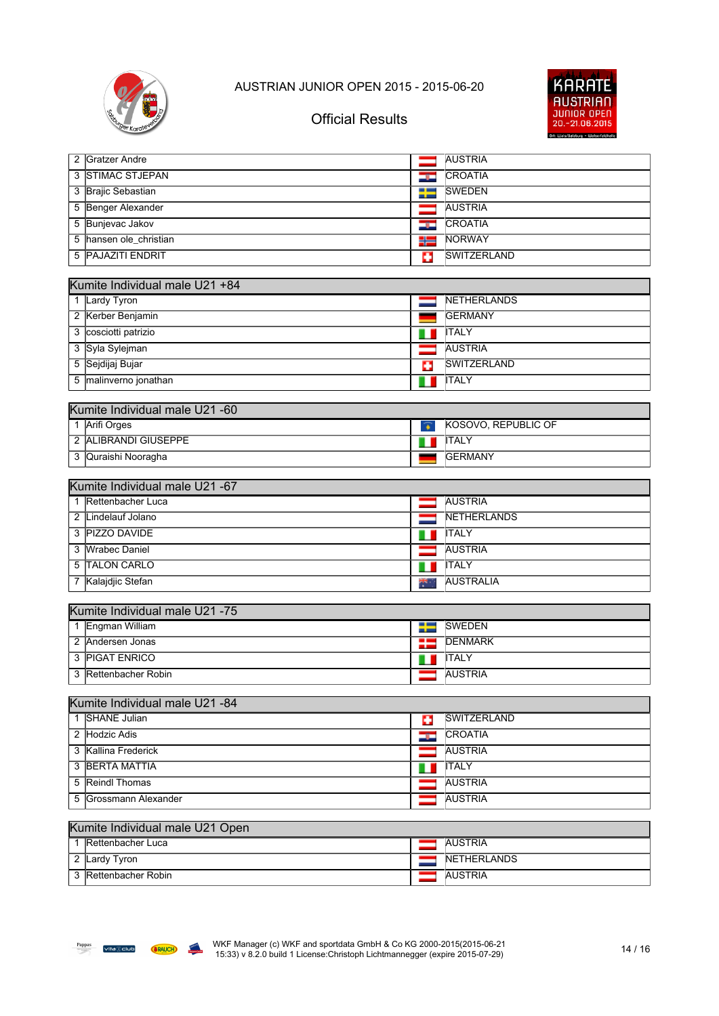



| 2 Gratzer Andre                                 |       | <b>AUSTRIA</b>      |  |  |  |
|-------------------------------------------------|-------|---------------------|--|--|--|
| 3 STIMAC STJEPAN                                | ندر ک | CROATIA             |  |  |  |
| 3 Brajic Sebastian                              | ₩     | <b>SWEDEN</b>       |  |  |  |
| 5 Benger Alexander                              |       | <b>AUSTRIA</b>      |  |  |  |
| 5 Bunjevac Jakov                                | ۵ū    | <b>CROATIA</b>      |  |  |  |
| 5 hansen ole_christian                          | 52    | NORWAY              |  |  |  |
| <b>PAJAZITI ENDRIT</b><br>5                     | Ф     | <b>SWITZERLAND</b>  |  |  |  |
|                                                 |       |                     |  |  |  |
| Kumite Individual male U21 +84                  |       |                     |  |  |  |
| Lardy Tyron<br>$\mathbf{1}$                     |       | NETHERLANDS         |  |  |  |
| 2 Kerber Benjamin                               |       | <b>GERMANY</b>      |  |  |  |
| 3 cosciotti patrizio                            |       | <b>ITALY</b>        |  |  |  |
| 3 Syla Sylejman                                 |       | <b>AUSTRIA</b>      |  |  |  |
| 5 Sejdijaj Bujar                                | o     | SWITZERLAND         |  |  |  |
| 5 malinverno jonathan                           | ш     | <b>ITALY</b>        |  |  |  |
|                                                 |       |                     |  |  |  |
| Kumite Individual male U21 -60<br>1 Arifi Orges |       | KOSOVO, REPUBLIC OF |  |  |  |
| 2 ALIBRANDI GIUSEPPE                            | Ŧ     | <b>ITALY</b>        |  |  |  |
|                                                 | 1 D   |                     |  |  |  |
| 3 Quraishi Nooragha                             |       | <b>GERMANY</b>      |  |  |  |
| Kumite Individual male U21 -67                  |       |                     |  |  |  |
| 1 Rettenbacher Luca                             |       | <b>AUSTRIA</b>      |  |  |  |
| 2 Lindelauf Jolano                              |       | NETHERLANDS         |  |  |  |
| 3 PIZZO DAVIDE                                  |       | <b>ITALY</b>        |  |  |  |
| 3 Wrabec Daniel                                 |       | <b>AUSTRIA</b>      |  |  |  |
| 5 TALON CARLO                                   | ш     | <b>ITALY</b>        |  |  |  |
| 7 Kalajdjic Stefan                              |       | <b>AUSTRALIA</b>    |  |  |  |
|                                                 |       |                     |  |  |  |
| Kumite Individual male U21 -75                  |       |                     |  |  |  |
| 1 Engman William                                | ₩     | <b>SWEDEN</b>       |  |  |  |
| 2 Andersen Jonas                                | 25    | <b>DENMARK</b>      |  |  |  |
| 3 PIGAT ENRICO                                  |       | <b>ITALY</b>        |  |  |  |
| Rettenbacher Robin<br>3                         |       | <b>AUSTRIA</b>      |  |  |  |
|                                                 |       |                     |  |  |  |
| Kumite Individual male U21 -84                  |       |                     |  |  |  |
| 1 SHANE Julian                                  | ш     | SWITZERLAND         |  |  |  |
| 2 Hodzic Adis                                   | -92   | <b>CROATIA</b>      |  |  |  |
| 3 Kallina Frederick                             | ═     | <b>AUSTRIA</b>      |  |  |  |
| 3 BERTA MATTIA                                  | 1 P   | <b>ITALY</b>        |  |  |  |
| 5 Reindl Thomas                                 |       | <b>AUSTRIA</b>      |  |  |  |
| 5 Grossmann Alexander                           |       | <b>AUSTRIA</b>      |  |  |  |
|                                                 |       |                     |  |  |  |
| Kumite Individual male U21 Open                 |       |                     |  |  |  |

#### Kumite Individual male U21 Open

| lRettenbacher Luca | <b>AUSTRIA</b>      |
|--------------------|---------------------|
| Lardy Tyron        | <b>INETHERLANDS</b> |
| Rettenbacher Robin | <b>AUSTRIA</b>      |

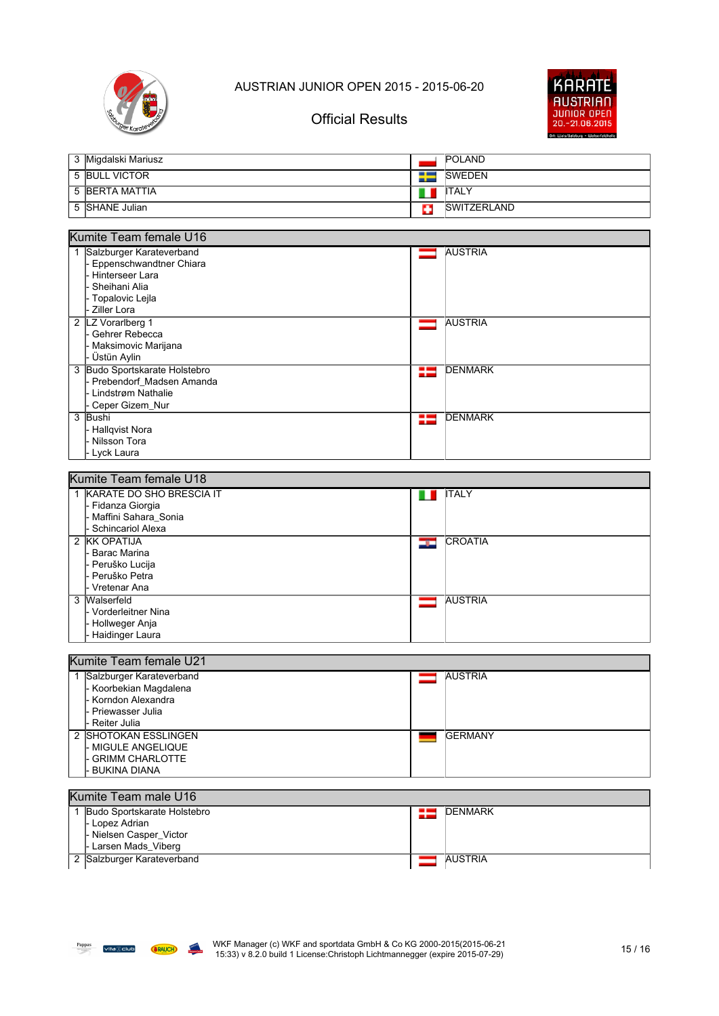



| 3 Migdalski Mariusz |   | <b>POLAND</b>       |
|---------------------|---|---------------------|
| 5 BULL VICTOR       |   | <b>ISWEDEN</b>      |
| 5 BERTA MATTIA      | Ш | <b>I</b> ITALY      |
| 5 SHANE Julian      | ę | <b>ISWITZERLAND</b> |

#### Kumite Team female U16

| Salzburger Karateverband      |    | <b>AUSTRIA</b> |
|-------------------------------|----|----------------|
| Eppenschwandtner Chiara       |    |                |
| Hinterseer Lara               |    |                |
| Sheihani Alia                 |    |                |
| - Topalovic Lejla             |    |                |
| Ziller Lora                   |    |                |
| 2 LZ Vorarlberg 1             |    | <b>AUSTRIA</b> |
| - Gehrer Rebecca              |    |                |
| l- Maksimovic Marijana        |    |                |
| Üstün Aylin                   |    |                |
| 3 Budo Sportskarate Holstebro | 22 | <b>DENMARK</b> |
| - Prebendorf Madsen Amanda    |    |                |
| - Lindstrøm Nathalie          |    |                |
| - Ceper Gizem_Nur             |    |                |
| 3 Bushi                       | 52 | <b>DENMARK</b> |
| - Hallqvist Nora              |    |                |
| - Nilsson Tora                |    |                |
| - Lyck Laura                  |    |                |
|                               |    |                |

| Kumite Team female U18 |                            |     |                |  |
|------------------------|----------------------------|-----|----------------|--|
|                        | 1 KARATE DO SHO BRESCIA IT |     | <b>ITALY</b>   |  |
|                        | - Fidanza Giorgia          |     |                |  |
|                        | - Maffini Sahara Sonia     |     |                |  |
|                        | l- Schincariol Alexa       |     |                |  |
|                        | 2 KK OPATIJA               | دره | <b>CROATIA</b> |  |
|                        | Barac Marina               |     |                |  |
|                        | - Peruško Lucija           |     |                |  |
|                        | l- Peruško Petra           |     |                |  |
|                        | I- Vretenar Ana            |     |                |  |
|                        | 3 Walserfeld               |     | <b>AUSTRIA</b> |  |
|                        | I- Vorderleitner Nina      |     |                |  |
|                        | l- Hollweger Anja          |     |                |  |
|                        | - Haidinger Laura          |     |                |  |

#### Kumite Team female U21

| Salzburger Karateverband |  | <b>AUSTRIA</b>  |  |  |
|--------------------------|--|-----------------|--|--|
| - Koorbekian Magdalena   |  |                 |  |  |
| I- Korndon Alexandra     |  |                 |  |  |
| I- Priewasser Julia      |  |                 |  |  |
| I- Reiter Julia          |  |                 |  |  |
| 2 SHOTOKAN ESSLINGEN     |  | <b>IGERMANY</b> |  |  |
| l- MIGULE ANGELIQUE      |  |                 |  |  |
| I- GRIMM CHARLOTTE       |  |                 |  |  |
| I- BUKINA DIANA          |  |                 |  |  |

#### Kumite Team male U16 1 Budo Sportskarate Holstebro **DENMARK** 25 - Lopez Adrian - Nielsen Casper\_Victor - Larsen Mads\_Viberg 2 Salzburger Karateverband AUSTRIA